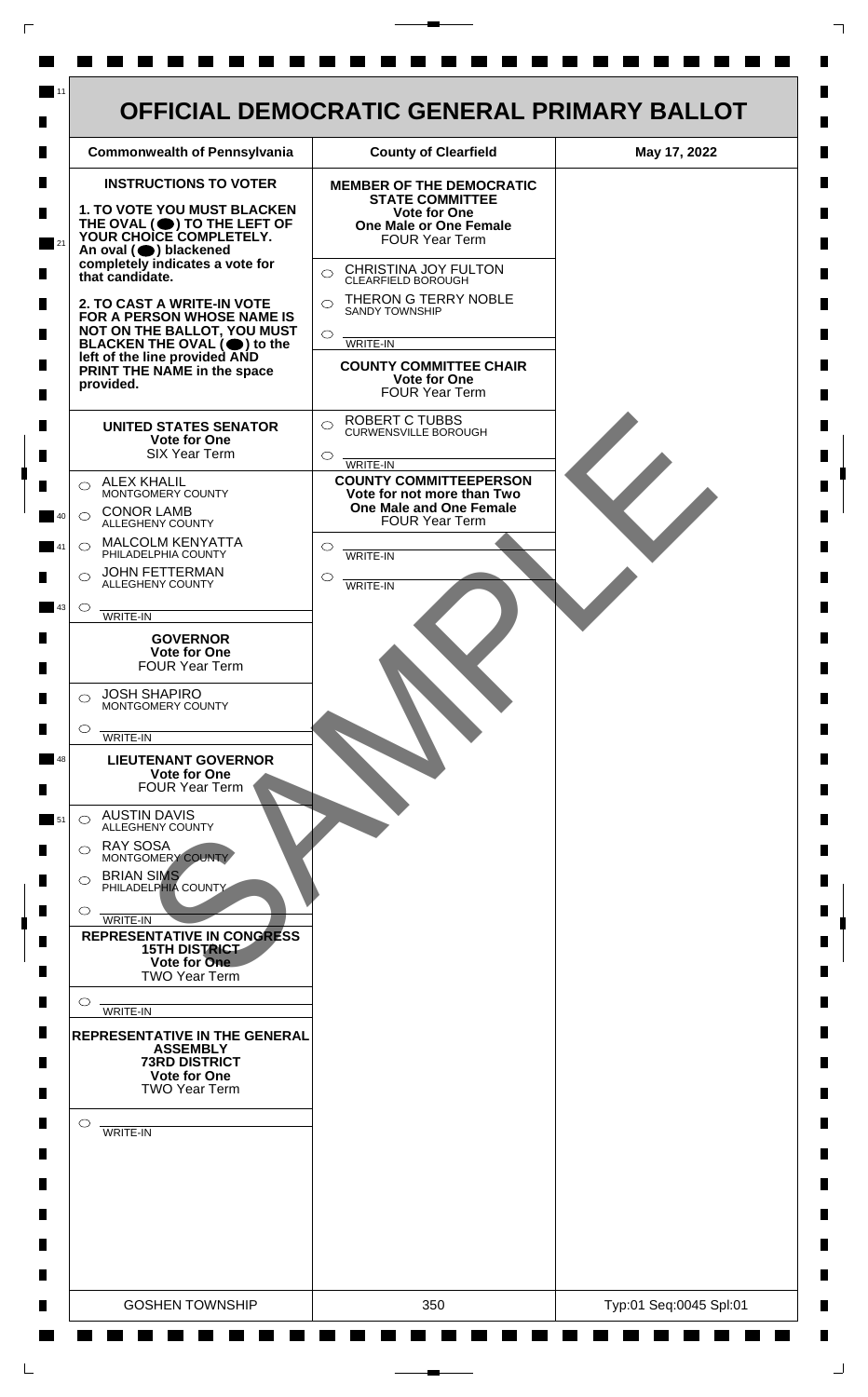

 $\mathsf{L}$ 

 $\Box$